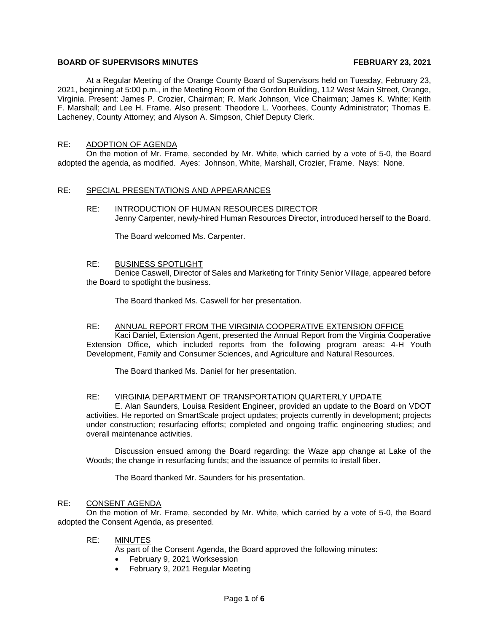# **BOARD OF SUPERVISORS MINUTES FEBRUARY 23, 2021**

At a Regular Meeting of the Orange County Board of Supervisors held on Tuesday, February 23, 2021, beginning at 5:00 p.m., in the Meeting Room of the Gordon Building, 112 West Main Street, Orange, Virginia. Present: James P. Crozier, Chairman; R. Mark Johnson, Vice Chairman; James K. White; Keith F. Marshall; and Lee H. Frame. Also present: Theodore L. Voorhees, County Administrator; Thomas E. Lacheney, County Attorney; and Alyson A. Simpson, Chief Deputy Clerk.

# RE: ADOPTION OF AGENDA

On the motion of Mr. Frame, seconded by Mr. White, which carried by a vote of 5-0, the Board adopted the agenda, as modified. Ayes: Johnson, White, Marshall, Crozier, Frame. Nays: None.

## RE: SPECIAL PRESENTATIONS AND APPEARANCES

RE: INTRODUCTION OF HUMAN RESOURCES DIRECTOR Jenny Carpenter, newly-hired Human Resources Director, introduced herself to the Board.

The Board welcomed Ms. Carpenter.

# RE: BUSINESS SPOTLIGHT

Denice Caswell, Director of Sales and Marketing for Trinity Senior Village, appeared before the Board to spotlight the business.

The Board thanked Ms. Caswell for her presentation.

#### RE: ANNUAL REPORT FROM THE VIRGINIA COOPERATIVE EXTENSION OFFICE

Kaci Daniel, Extension Agent, presented the Annual Report from the Virginia Cooperative Extension Office, which included reports from the following program areas: 4-H Youth Development, Family and Consumer Sciences, and Agriculture and Natural Resources.

The Board thanked Ms. Daniel for her presentation.

## RE: VIRGINIA DEPARTMENT OF TRANSPORTATION QUARTERLY UPDATE

E. Alan Saunders, Louisa Resident Engineer, provided an update to the Board on VDOT activities. He reported on SmartScale project updates; projects currently in development; projects under construction; resurfacing efforts; completed and ongoing traffic engineering studies; and overall maintenance activities.

Discussion ensued among the Board regarding: the Waze app change at Lake of the Woods; the change in resurfacing funds; and the issuance of permits to install fiber.

The Board thanked Mr. Saunders for his presentation.

#### RE: CONSENT AGENDA

On the motion of Mr. Frame, seconded by Mr. White, which carried by a vote of 5-0, the Board adopted the Consent Agenda, as presented.

# RE: MINUTES

As part of the Consent Agenda, the Board approved the following minutes:

- February 9, 2021 Worksession
- February 9, 2021 Regular Meeting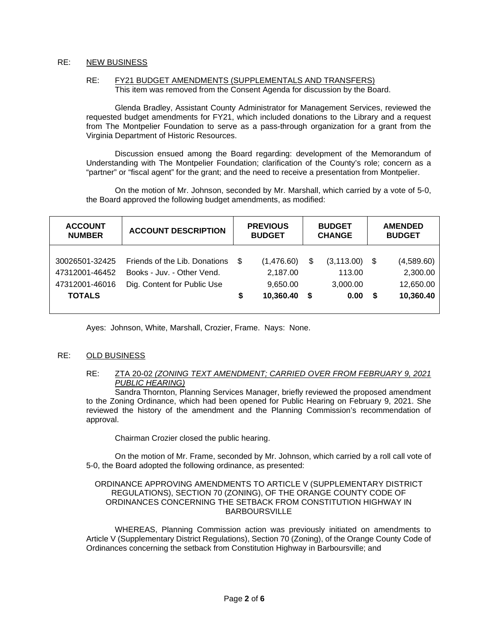# RE: NEW BUSINESS

#### RE: FY21 BUDGET AMENDMENTS (SUPPLEMENTALS AND TRANSFERS) This item was removed from the Consent Agenda for discussion by the Board.

Glenda Bradley, Assistant County Administrator for Management Services, reviewed the requested budget amendments for FY21, which included donations to the Library and a request from The Montpelier Foundation to serve as a pass-through organization for a grant from the Virginia Department of Historic Resources.

Discussion ensued among the Board regarding: development of the Memorandum of Understanding with The Montpelier Foundation; clarification of the County's role; concern as a "partner" or "fiscal agent" for the grant; and the need to receive a presentation from Montpelier.

On the motion of Mr. Johnson, seconded by Mr. Marshall, which carried by a vote of 5-0, the Board approved the following budget amendments, as modified:

| <b>ACCOUNT</b><br><b>NUMBER</b>                                     | <b>ACCOUNT DESCRIPTION</b>                                                                 |         | <b>PREVIOUS</b><br><b>BUDGET</b><br><b>CHANGE</b><br><b>BUDGET</b> |          | <b>AMENDED</b><br><b>BUDGET</b>           |           |                                                  |
|---------------------------------------------------------------------|--------------------------------------------------------------------------------------------|---------|--------------------------------------------------------------------|----------|-------------------------------------------|-----------|--------------------------------------------------|
| 30026501-32425<br>47312001-46452<br>47312001-46016<br><b>TOTALS</b> | Friends of the Lib. Donations<br>Books - Juv. - Other Vend.<br>Dig. Content for Public Use | \$<br>S | (1,476.60)<br>2,187.00<br>9,650.00<br>10,360.40                    | \$<br>\$ | (3, 113.00)<br>113.00<br>3,000.00<br>0.00 | - \$<br>S | (4,589.60)<br>2,300.00<br>12,650.00<br>10,360.40 |

Ayes: Johnson, White, Marshall, Crozier, Frame. Nays: None.

# RE: OLD BUSINESS

## RE: ZTA 20-02 *(ZONING TEXT AMENDMENT; CARRIED OVER FROM FEBRUARY 9, 2021 PUBLIC HEARING)*

Sandra Thornton, Planning Services Manager, briefly reviewed the proposed amendment to the Zoning Ordinance, which had been opened for Public Hearing on February 9, 2021. She reviewed the history of the amendment and the Planning Commission's recommendation of approval.

Chairman Crozier closed the public hearing.

On the motion of Mr. Frame, seconded by Mr. Johnson, which carried by a roll call vote of 5-0, the Board adopted the following ordinance, as presented:

#### ORDINANCE APPROVING AMENDMENTS TO ARTICLE V (SUPPLEMENTARY DISTRICT REGULATIONS), SECTION 70 (ZONING), OF THE ORANGE COUNTY CODE OF ORDINANCES CONCERNING THE SETBACK FROM CONSTITUTION HIGHWAY IN **BARBOURSVILLE**

WHEREAS, Planning Commission action was previously initiated on amendments to Article V (Supplementary District Regulations), Section 70 (Zoning), of the Orange County Code of Ordinances concerning the setback from Constitution Highway in Barboursville; and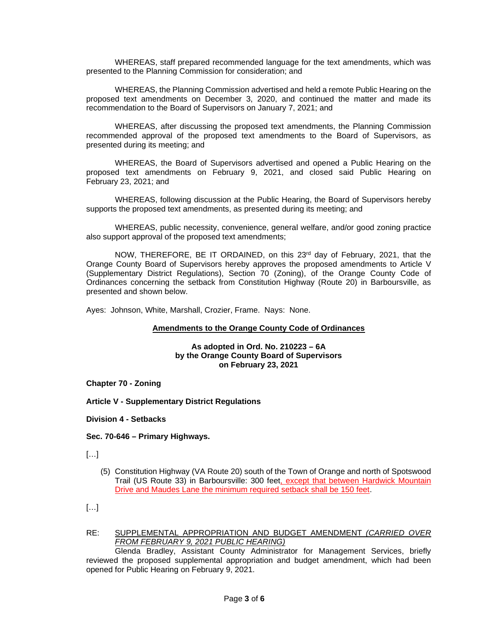WHEREAS, staff prepared recommended language for the text amendments, which was presented to the Planning Commission for consideration; and

WHEREAS, the Planning Commission advertised and held a remote Public Hearing on the proposed text amendments on December 3, 2020, and continued the matter and made its recommendation to the Board of Supervisors on January 7, 2021; and

WHEREAS, after discussing the proposed text amendments, the Planning Commission recommended approval of the proposed text amendments to the Board of Supervisors, as presented during its meeting; and

WHEREAS, the Board of Supervisors advertised and opened a Public Hearing on the proposed text amendments on February 9, 2021, and closed said Public Hearing on February 23, 2021; and

WHEREAS, following discussion at the Public Hearing, the Board of Supervisors hereby supports the proposed text amendments, as presented during its meeting; and

WHEREAS, public necessity, convenience, general welfare, and/or good zoning practice also support approval of the proposed text amendments;

NOW, THEREFORE, BE IT ORDAINED, on this  $23<sup>rd</sup>$  day of February, 2021, that the Orange County Board of Supervisors hereby approves the proposed amendments to Article V (Supplementary District Regulations), Section 70 (Zoning), of the Orange County Code of Ordinances concerning the setback from Constitution Highway (Route 20) in Barboursville, as presented and shown below.

Ayes: Johnson, White, Marshall, Crozier, Frame. Nays: None.

## **Amendments to the Orange County Code of Ordinances**

#### **As adopted in Ord. No. 210223 – 6A by the Orange County Board of Supervisors on February 23, 2021**

**Chapter 70 - Zoning**

**Article V - Supplementary District Regulations**

**Division 4 - Setbacks**

**Sec. 70-646 – Primary Highways.**

 $[...]$ 

- (5) Constitution Highway (VA Route 20) south of the Town of Orange and north of Spotswood Trail (US Route 33) in Barboursville: 300 feet, except that between Hardwick Mountain Drive and Maudes Lane the minimum required setback shall be 150 feet.
- $[...]$
- RE: SUPPLEMENTAL APPROPRIATION AND BUDGET AMENDMENT *(CARRIED OVER FROM FEBRUARY 9, 2021 PUBLIC HEARING)*

Glenda Bradley, Assistant County Administrator for Management Services, briefly reviewed the proposed supplemental appropriation and budget amendment, which had been opened for Public Hearing on February 9, 2021.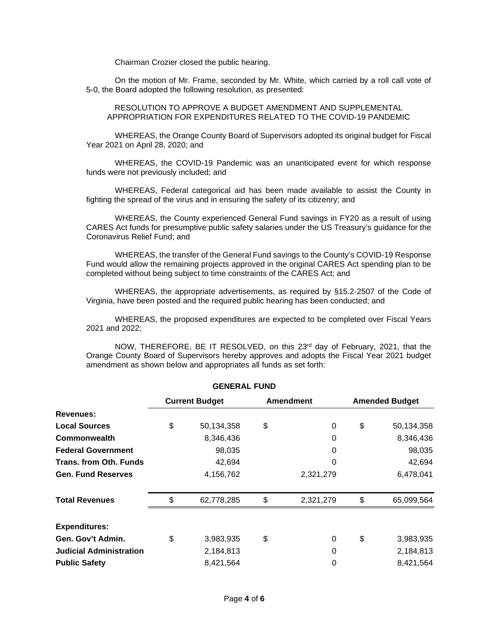Chairman Crozier closed the public hearing.

On the motion of Mr. Frame, seconded by Mr. White, which carried by a roll call vote of 5-0, the Board adopted the following resolution, as presented:

RESOLUTION TO APPROVE A BUDGET AMENDMENT AND SUPPLEMENTAL APPROPRIATION FOR EXPENDITURES RELATED TO THE COVID-19 PANDEMIC

WHEREAS, the Orange County Board of Supervisors adopted its original budget for Fiscal Year 2021 on April 28, 2020; and

WHEREAS, the COVID-19 Pandemic was an unanticipated event for which response funds were not previously included; and

WHEREAS, Federal categorical aid has been made available to assist the County in fighting the spread of the virus and in ensuring the safety of its citizenry; and

WHEREAS, the County experienced General Fund savings in FY20 as a result of using CARES Act funds for presumptive public safety salaries under the US Treasury's guidance for the Coronavirus Relief Fund; and

WHEREAS, the transfer of the General Fund savings to the County's COVID-19 Response Fund would allow the remaining projects approved in the original CARES Act spending plan to be completed without being subject to time constraints of the CARES Act; and

WHEREAS, the appropriate advertisements, as required by §15.2-2507 of the Code of Virginia, have been posted and the required public hearing has been conducted; and

WHEREAS, the proposed expenditures are expected to be completed over Fiscal Years 2021 and 2022;

NOW, THEREFORE, BE IT RESOLVED, on this 23rd day of February, 2021, that the Orange County Board of Supervisors hereby approves and adopts the Fiscal Year 2021 budget amendment as shown below and appropriates all funds as set forth:

|                                | <b>Current Budget</b> |            | <b>Amendment</b> | <b>Amended Budget</b> |            |
|--------------------------------|-----------------------|------------|------------------|-----------------------|------------|
| Revenues:                      |                       |            |                  |                       |            |
| <b>Local Sources</b>           | \$                    | 50,134,358 | \$<br>$\Omega$   | \$                    | 50,134,358 |
| <b>Commonwealth</b>            |                       | 8,346,436  | $\Omega$         |                       | 8,346,436  |
| <b>Federal Government</b>      |                       | 98,035     | 0                |                       | 98,035     |
| <b>Trans. from Oth. Funds</b>  |                       | 42,694     | $\Omega$         |                       | 42,694     |
| <b>Gen. Fund Reserves</b>      |                       | 4,156,762  | 2,321,279        |                       | 6,478,041  |
| <b>Total Revenues</b>          | \$                    | 62,778,285 | \$<br>2,321,279  | \$                    | 65,099,564 |
| <b>Expenditures:</b>           |                       |            |                  |                       |            |
| Gen. Gov't Admin.              | \$                    | 3,983,935  | \$<br>$\Omega$   | \$                    | 3,983,935  |
| <b>Judicial Administration</b> |                       | 2,184,813  | $\Omega$         |                       | 2,184,813  |
| <b>Public Safety</b>           |                       | 8,421,564  | 0                |                       | 8,421,564  |

**GENERAL FUND**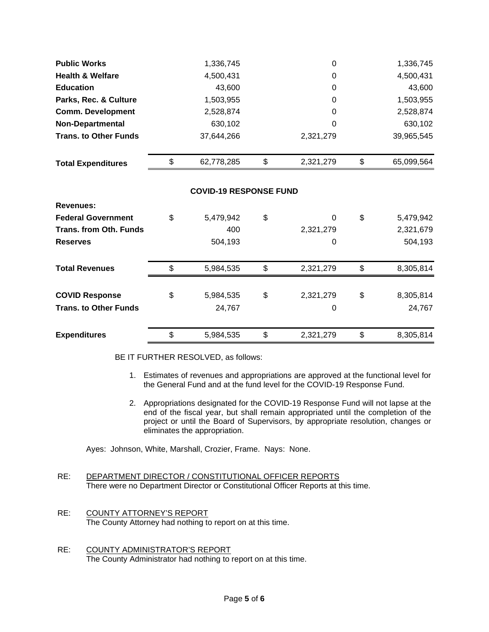| <b>Public Works</b>           | 1,336,745                     | $\mathbf 0$     | 1,336,745        |
|-------------------------------|-------------------------------|-----------------|------------------|
| <b>Health &amp; Welfare</b>   | 4,500,431                     | 0               | 4,500,431        |
| <b>Education</b>              | 43,600                        | $\mathbf 0$     | 43,600           |
| Parks, Rec. & Culture         | 1,503,955                     | 0               | 1,503,955        |
| <b>Comm. Development</b>      | 2,528,874                     | 0               | 2,528,874        |
| <b>Non-Departmental</b>       | 630,102                       | 0               | 630,102          |
| <b>Trans. to Other Funds</b>  | 37,644,266                    | 2,321,279       | 39,965,545       |
| <b>Total Expenditures</b>     | \$<br>62,778,285              | \$<br>2,321,279 | \$<br>65,099,564 |
|                               | <b>COVID-19 RESPONSE FUND</b> |                 |                  |
| <b>Revenues:</b>              |                               |                 |                  |
| <b>Federal Government</b>     | \$<br>5,479,942               | \$<br>0         | \$<br>5,479,942  |
| <b>Trans. from Oth. Funds</b> | 400                           | 2,321,279       | 2,321,679        |
| <b>Reserves</b>               | 504,193                       | 0               | 504,193          |
| <b>Total Revenues</b>         | \$<br>5,984,535               | \$<br>2,321,279 | \$<br>8,305,814  |
| <b>COVID Response</b>         | \$<br>5,984,535               | \$<br>2,321,279 | \$<br>8,305,814  |
| <b>Trans. to Other Funds</b>  | 24,767                        | 0               | 24,767           |
| <b>Expenditures</b>           | \$<br>5,984,535               | \$<br>2,321,279 | \$<br>8,305,814  |

BE IT FURTHER RESOLVED, as follows:

- 1. Estimates of revenues and appropriations are approved at the functional level for the General Fund and at the fund level for the COVID-19 Response Fund.
- 2. Appropriations designated for the COVID-19 Response Fund will not lapse at the end of the fiscal year, but shall remain appropriated until the completion of the project or until the Board of Supervisors, by appropriate resolution, changes or eliminates the appropriation.

Ayes: Johnson, White, Marshall, Crozier, Frame. Nays: None.

- RE: DEPARTMENT DIRECTOR / CONSTITUTIONAL OFFICER REPORTS There were no Department Director or Constitutional Officer Reports at this time.
- RE: COUNTY ATTORNEY'S REPORT The County Attorney had nothing to report on at this time.
- RE: COUNTY ADMINISTRATOR'S REPORT The County Administrator had nothing to report on at this time.